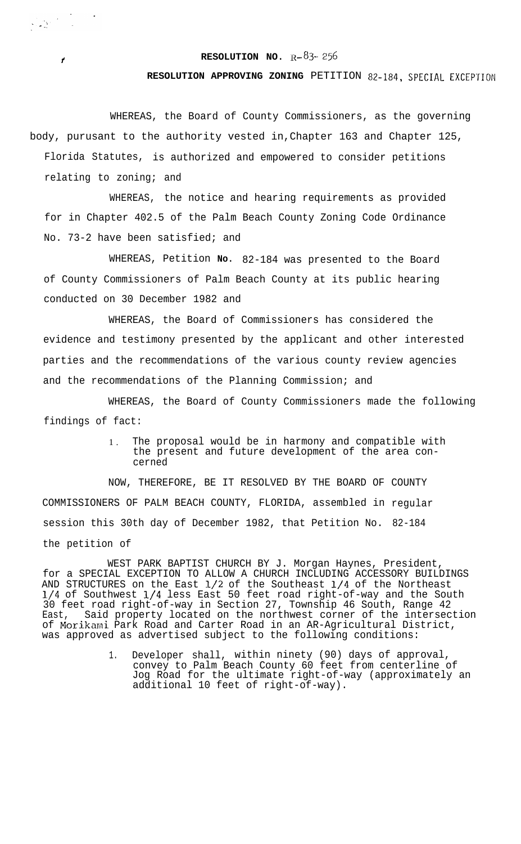**RESOLUTION NO.**  $R-\frac{83}{56}$ 

**1**

**RESOLUTION APPROVING ZONING** PETITION 82-184, SPECIAL EXCEPTION

WHEREAS, the Board of County Commissioners, as the governing body, purusant to the authority vested in,Chapter 163 and Chapter 125, Florida Statutes, is authorized and empowered to consider petitions relating to zoning; and

WHEREAS, the notice and hearing requirements as provided for in Chapter 402.5 of the Palm Beach County Zoning Code Ordinance No. 73-2 have been satisfied; and

WHEREAS, Petition **No.** 82-184 was presented to the Board of County Commissioners of Palm Beach County at its public hearing conducted on 30 December 1982 and

WHEREAS, the Board of Commissioners has considered the evidence and testimony presented by the applicant and other interested parties and the recommendations of the various county review agencies and the recommendations of the Planning Commission; and

WHEREAS, the Board of County Commissioners made the following findings of fact:

> 1 . The proposal would be in harmony and compatible with the present and future development of the area concerned

NOW, THEREFORE, BE IT RESOLVED BY THE BOARD OF COUNTY COMMISSIONERS OF PALM BEACH COUNTY, FLORIDA, assembled in regular session this 30th day of December 1982, that Petition No. 82-184 the petition of

WEST PARK BAPTIST CHURCH BY J. Morgan Haynes, President, for a SPECIAL EXCEPTION TO ALLOW A CHURCH INCLUDING ACCESSORY BUILDINGS AND STRUCTURES on the East  $1/2$  of the Southeast  $1/4$  of the Northeast l/4 of Southwest l/4 less East 50 feet road right-of-way and the South 30 feet road right-of-way in Section 27, Township 46 South, Range 42 East, Said property located on the northwest corner of the intersection of Morikami Park Road and Carter Road in an AR-Agricultural District, was approved as advertised subject to the following conditions:

> 1. Developer shall, within ninety (90) days of approval, convey to Palm Beach County 60 feet from centerline of Jog Road for the ultimate right-of-way (approximately an additional 10 feet of right-of-way).